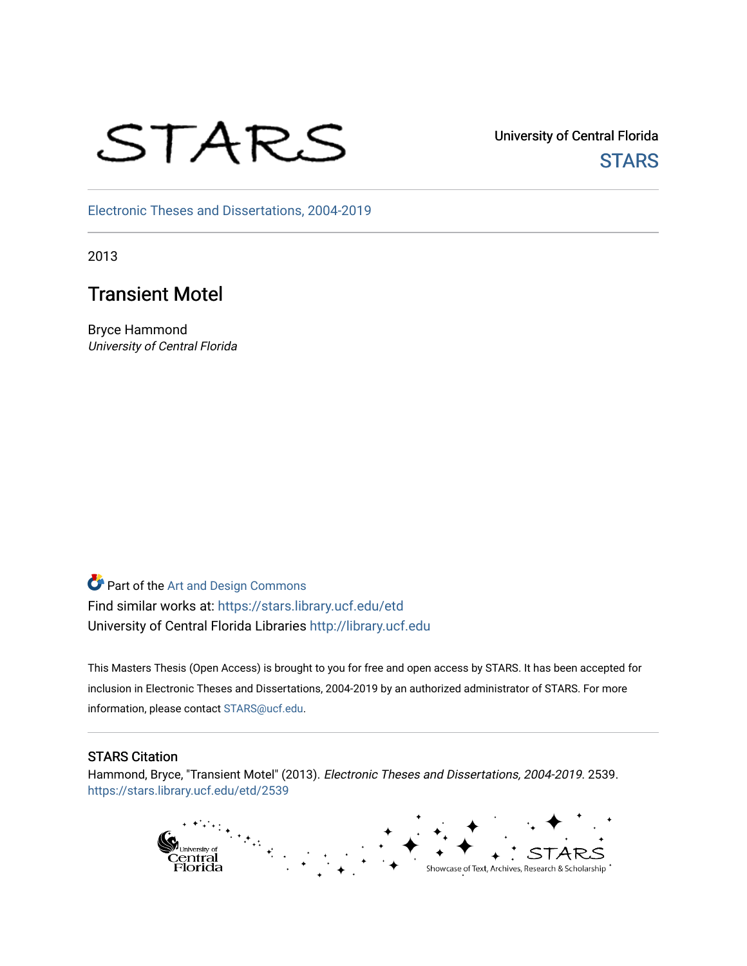# STARS

University of Central Florida **STARS** 

[Electronic Theses and Dissertations, 2004-2019](https://stars.library.ucf.edu/etd) 

2013

# Transient Motel

Bryce Hammond University of Central Florida

**Part of the [Art and Design Commons](http://network.bepress.com/hgg/discipline/1049?utm_source=stars.library.ucf.edu%2Fetd%2F2539&utm_medium=PDF&utm_campaign=PDFCoverPages)** Find similar works at: <https://stars.library.ucf.edu/etd> University of Central Florida Libraries [http://library.ucf.edu](http://library.ucf.edu/) 

This Masters Thesis (Open Access) is brought to you for free and open access by STARS. It has been accepted for inclusion in Electronic Theses and Dissertations, 2004-2019 by an authorized administrator of STARS. For more information, please contact [STARS@ucf.edu.](mailto:STARS@ucf.edu)

#### STARS Citation

Hammond, Bryce, "Transient Motel" (2013). Electronic Theses and Dissertations, 2004-2019. 2539. [https://stars.library.ucf.edu/etd/2539](https://stars.library.ucf.edu/etd/2539?utm_source=stars.library.ucf.edu%2Fetd%2F2539&utm_medium=PDF&utm_campaign=PDFCoverPages) 

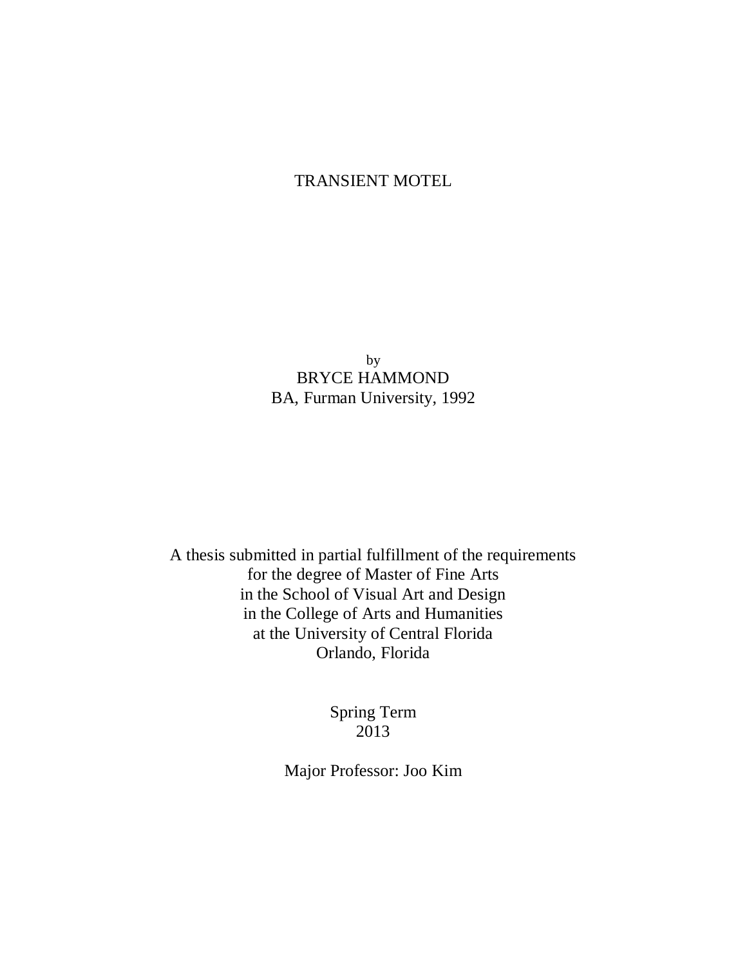## TRANSIENT MOTEL

by BRYCE HAMMOND BA, Furman University, 1992

A thesis submitted in partial fulfillment of the requirements for the degree of Master of Fine Arts in the School of Visual Art and Design in the College of Arts and Humanities at the University of Central Florida Orlando, Florida

> Spring Term 2013

Major Professor: Joo Kim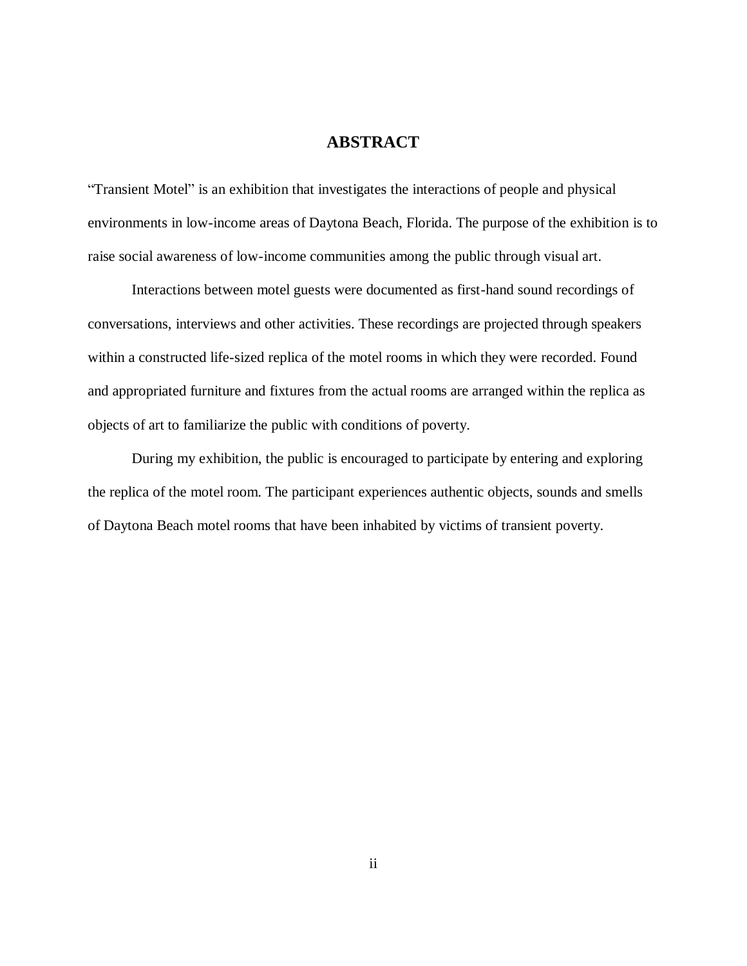## **ABSTRACT**

"Transient Motel" is an exhibition that investigates the interactions of people and physical environments in low-income areas of Daytona Beach, Florida. The purpose of the exhibition is to raise social awareness of low-income communities among the public through visual art.

Interactions between motel guests were documented as first-hand sound recordings of conversations, interviews and other activities. These recordings are projected through speakers within a constructed life-sized replica of the motel rooms in which they were recorded. Found and appropriated furniture and fixtures from the actual rooms are arranged within the replica as objects of art to familiarize the public with conditions of poverty.

During my exhibition, the public is encouraged to participate by entering and exploring the replica of the motel room. The participant experiences authentic objects, sounds and smells of Daytona Beach motel rooms that have been inhabited by victims of transient poverty.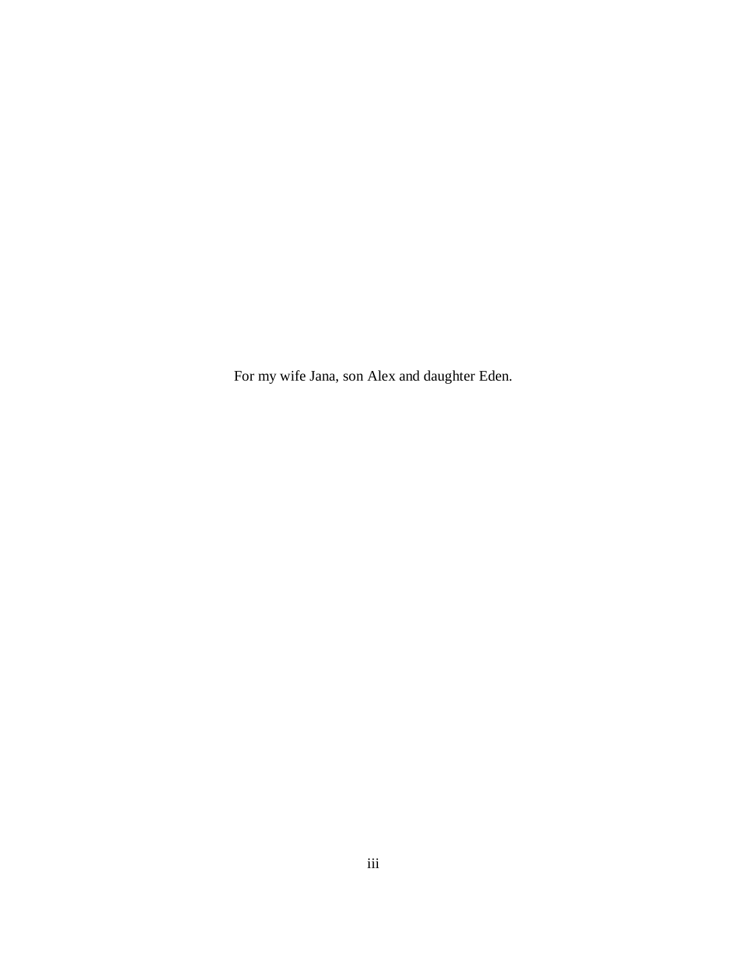For my wife Jana, son Alex and daughter Eden.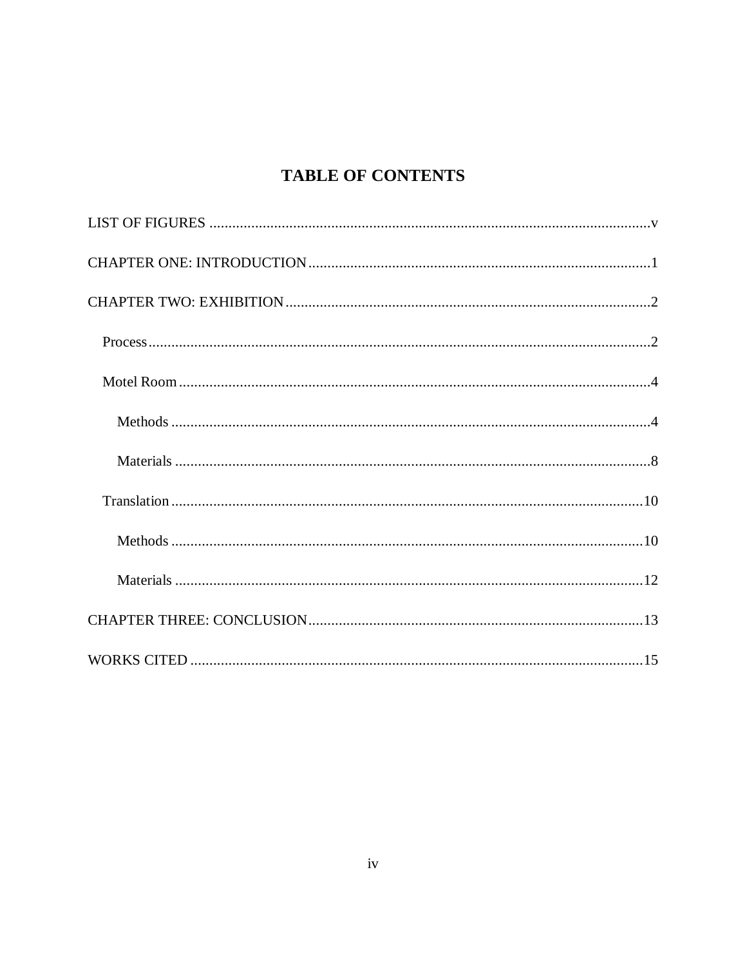# **TABLE OF CONTENTS**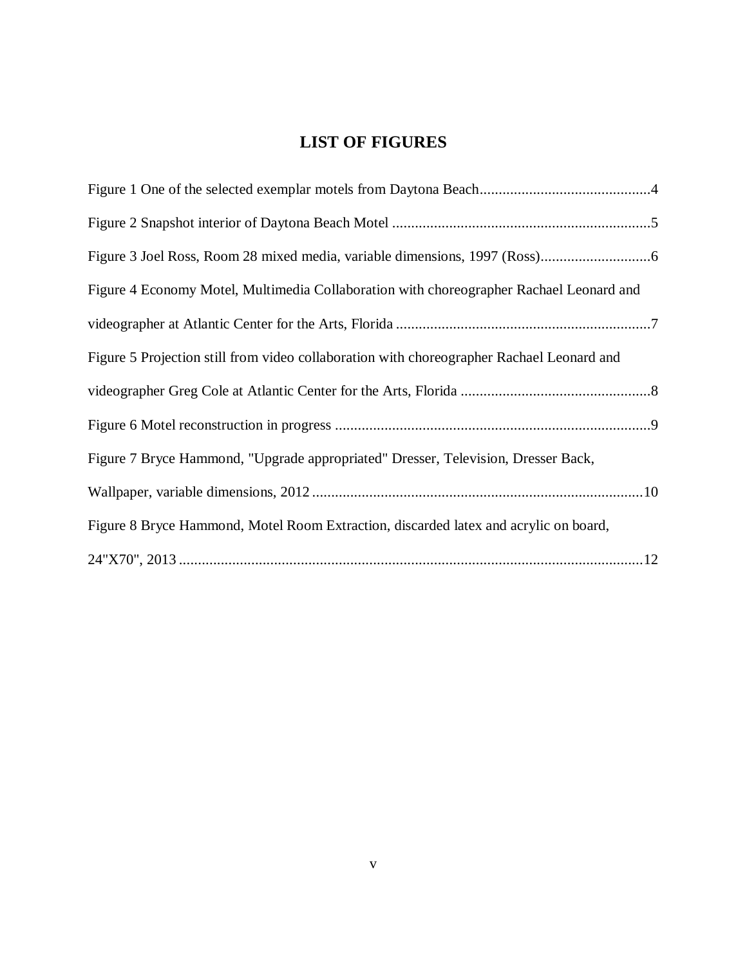# **LIST OF FIGURES**

<span id="page-5-0"></span>

| Figure 4 Economy Motel, Multimedia Collaboration with choreographer Rachael Leonard and   |
|-------------------------------------------------------------------------------------------|
|                                                                                           |
| Figure 5 Projection still from video collaboration with choreographer Rachael Leonard and |
|                                                                                           |
|                                                                                           |
| Figure 7 Bryce Hammond, "Upgrade appropriated" Dresser, Television, Dresser Back,         |
|                                                                                           |
| Figure 8 Bryce Hammond, Motel Room Extraction, discarded latex and acrylic on board,      |
|                                                                                           |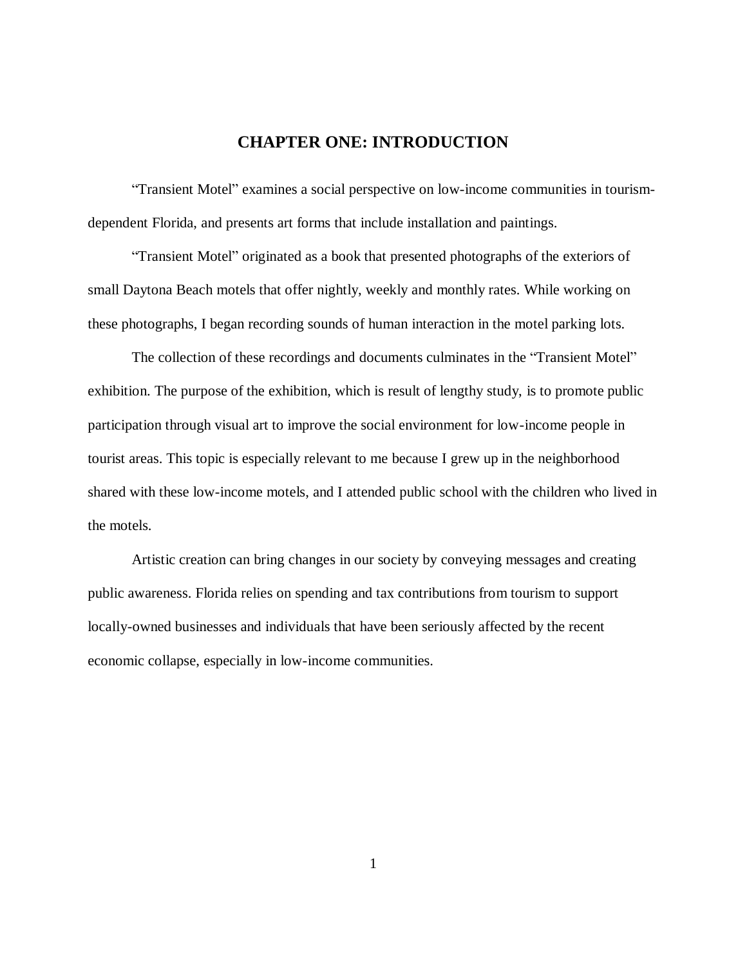### **CHAPTER ONE: INTRODUCTION**

<span id="page-6-0"></span>"Transient Motel" examines a social perspective on low-income communities in tourismdependent Florida, and presents art forms that include installation and paintings.

"Transient Motel" originated as a book that presented photographs of the exteriors of small Daytona Beach motels that offer nightly, weekly and monthly rates. While working on these photographs, I began recording sounds of human interaction in the motel parking lots.

The collection of these recordings and documents culminates in the "Transient Motel" exhibition. The purpose of the exhibition, which is result of lengthy study, is to promote public participation through visual art to improve the social environment for low-income people in tourist areas. This topic is especially relevant to me because I grew up in the neighborhood shared with these low-income motels, and I attended public school with the children who lived in the motels.

Artistic creation can bring changes in our society by conveying messages and creating public awareness. Florida relies on spending and tax contributions from tourism to support locally-owned businesses and individuals that have been seriously affected by the recent economic collapse, especially in low-income communities.

1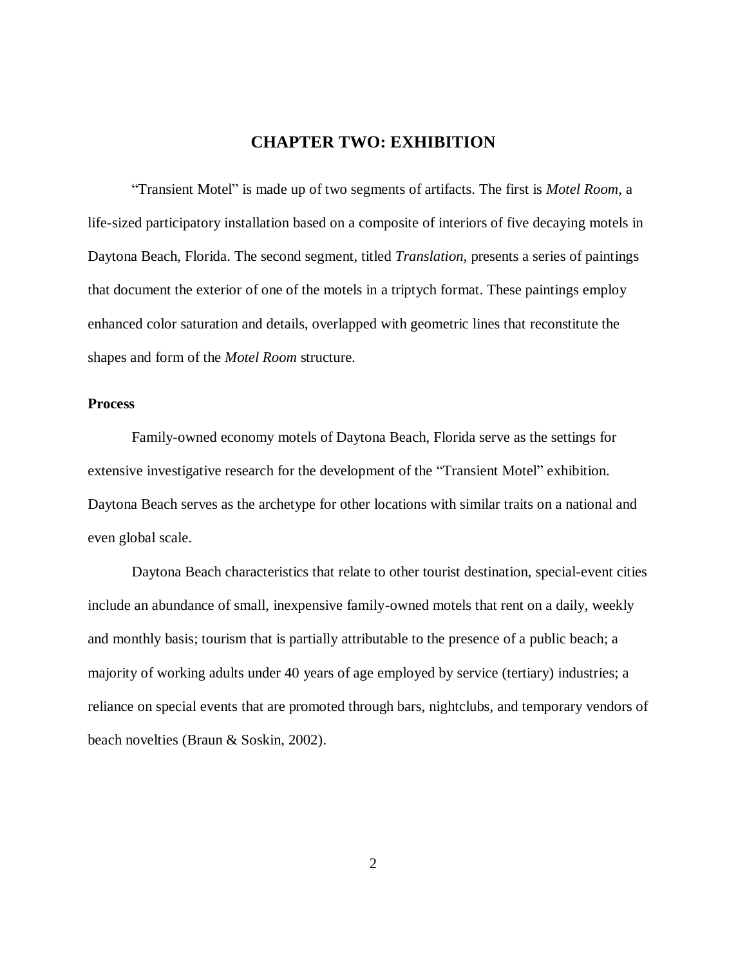## **CHAPTER TWO: EXHIBITION**

<span id="page-7-0"></span>"Transient Motel" is made up of two segments of artifacts. The first is *Motel Room,* a life-sized participatory installation based on a composite of interiors of five decaying motels in Daytona Beach, Florida. The second segment, titled *Translation,* presents a series of paintings that document the exterior of one of the motels in a triptych format. These paintings employ enhanced color saturation and details, overlapped with geometric lines that reconstitute the shapes and form of the *Motel Room* structure.

#### <span id="page-7-1"></span>**Process**

Family-owned economy motels of Daytona Beach, Florida serve as the settings for extensive investigative research for the development of the "Transient Motel" exhibition. Daytona Beach serves as the archetype for other locations with similar traits on a national and even global scale.

Daytona Beach characteristics that relate to other tourist destination, special-event cities include an abundance of small, inexpensive family-owned motels that rent on a daily, weekly and monthly basis; tourism that is partially attributable to the presence of a public beach; a majority of working adults under 40 years of age employed by service (tertiary) industries; a reliance on special events that are promoted through bars, nightclubs, and temporary vendors of beach novelties (Braun & Soskin, 2002).

2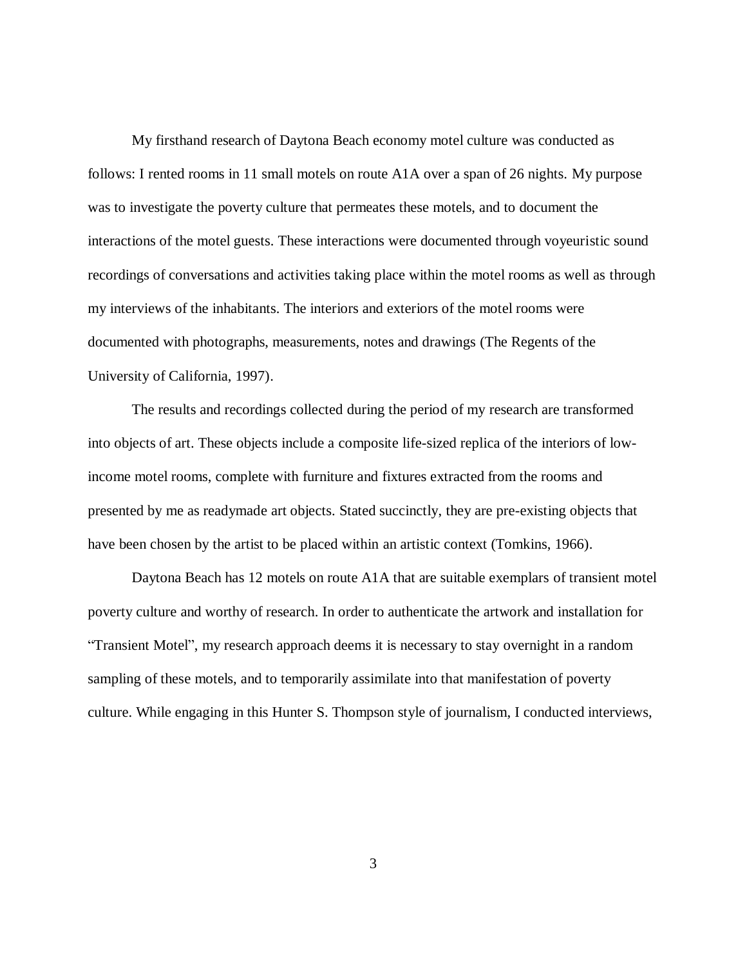My firsthand research of Daytona Beach economy motel culture was conducted as follows: I rented rooms in 11 small motels on route A1A over a span of 26 nights. My purpose was to investigate the poverty culture that permeates these motels, and to document the interactions of the motel guests. These interactions were documented through voyeuristic sound recordings of conversations and activities taking place within the motel rooms as well as through my interviews of the inhabitants. The interiors and exteriors of the motel rooms were documented with photographs, measurements, notes and drawings (The Regents of the University of California, 1997).

The results and recordings collected during the period of my research are transformed into objects of art. These objects include a composite life-sized replica of the interiors of lowincome motel rooms, complete with furniture and fixtures extracted from the rooms and presented by me as readymade art objects. Stated succinctly, they are pre-existing objects that have been chosen by the artist to be placed within an artistic context (Tomkins, 1966).

Daytona Beach has 12 motels on route A1A that are suitable exemplars of transient motel poverty culture and worthy of research. In order to authenticate the artwork and installation for "Transient Motel", my research approach deems it is necessary to stay overnight in a random sampling of these motels, and to temporarily assimilate into that manifestation of poverty culture. While engaging in this Hunter S. Thompson style of journalism, I conducted interviews,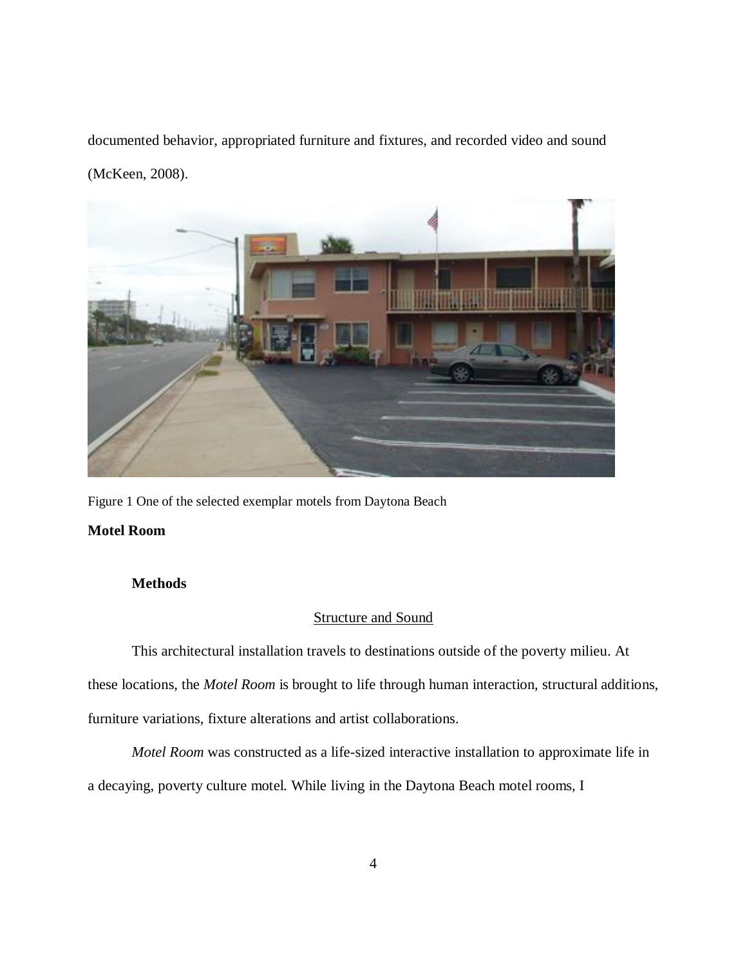documented behavior, appropriated furniture and fixtures, and recorded video and sound (McKeen, 2008).



<span id="page-9-2"></span>Figure 1 One of the selected exemplar motels from Daytona Beach

#### <span id="page-9-1"></span><span id="page-9-0"></span>**Motel Room**

#### **Methods**

#### Structure and Sound

This architectural installation travels to destinations outside of the poverty milieu. At these locations, the *Motel Room* is brought to life through human interaction, structural additions, furniture variations, fixture alterations and artist collaborations.

*Motel Room* was constructed as a life-sized interactive installation to approximate life in a decaying, poverty culture motel. While living in the Daytona Beach motel rooms, I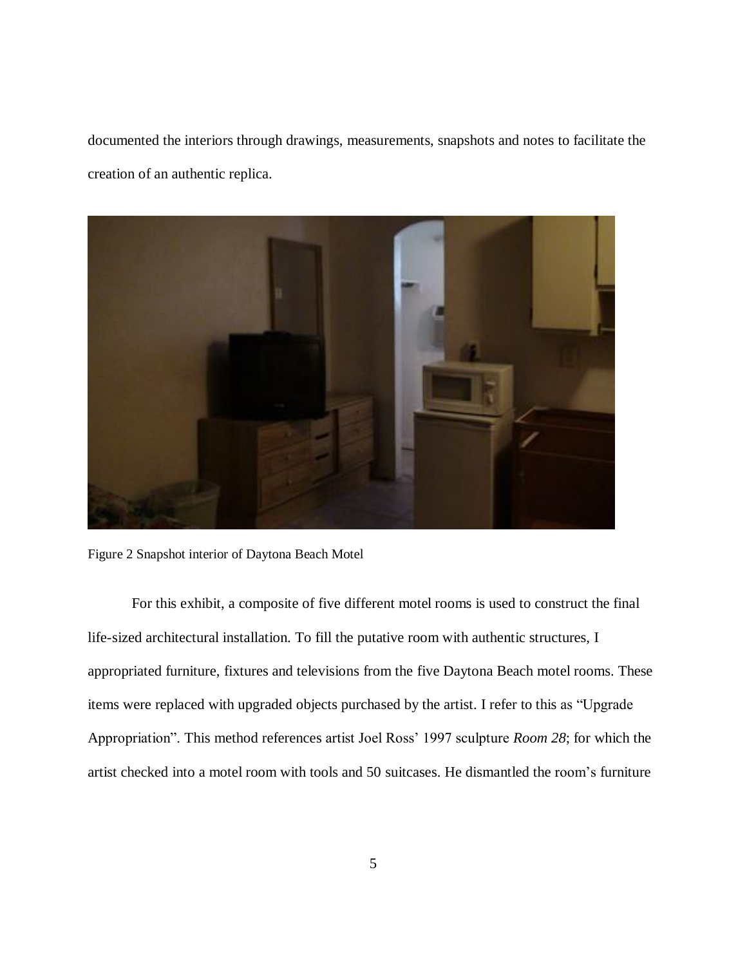documented the interiors through drawings, measurements, snapshots and notes to facilitate the creation of an authentic replica.



Figure 2 Snapshot interior of Daytona Beach Motel

<span id="page-10-0"></span>For this exhibit, a composite of five different motel rooms is used to construct the final life-sized architectural installation. To fill the putative room with authentic structures, I appropriated furniture, fixtures and televisions from the five Daytona Beach motel rooms. These items were replaced with upgraded objects purchased by the artist. I refer to this as "Upgrade Appropriation". This method references artist Joel Ross' 1997 sculpture *Room 28*; for which the artist checked into a motel room with tools and 50 suitcases. He dismantled the room's furniture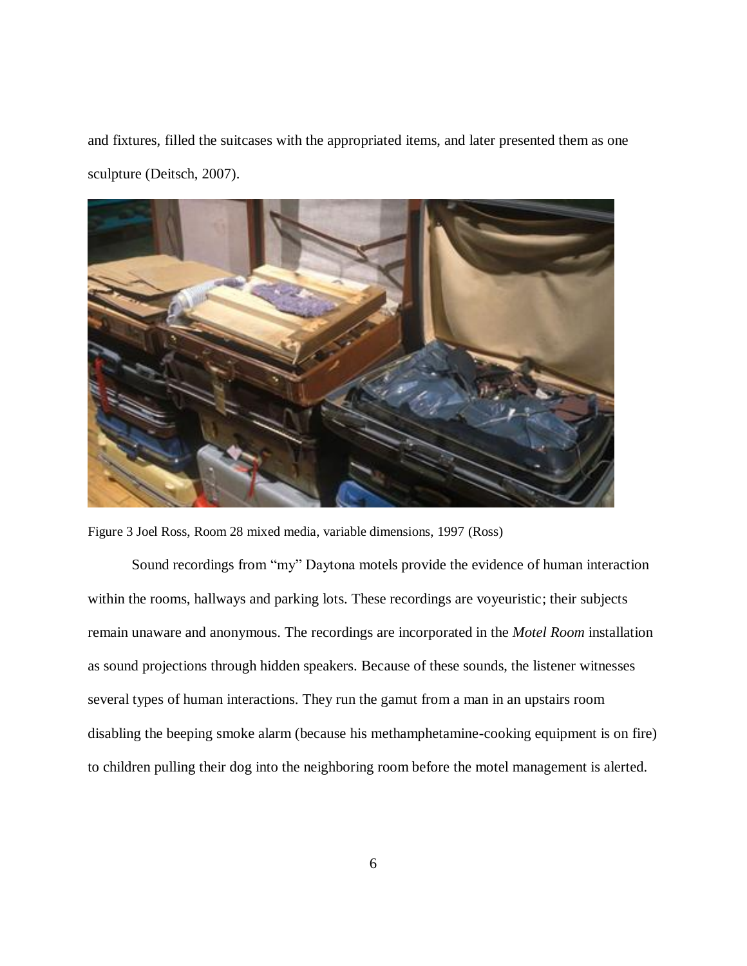and fixtures, filled the suitcases with the appropriated items, and later presented them as one sculpture (Deitsch, 2007).



Figure 3 Joel Ross, Room 28 mixed media, variable dimensions, 1997 (Ross)

<span id="page-11-0"></span>Sound recordings from "my" Daytona motels provide the evidence of human interaction within the rooms, hallways and parking lots. These recordings are voyeuristic; their subjects remain unaware and anonymous. The recordings are incorporated in the *Motel Room* installation as sound projections through hidden speakers. Because of these sounds, the listener witnesses several types of human interactions. They run the gamut from a man in an upstairs room disabling the beeping smoke alarm (because his methamphetamine-cooking equipment is on fire) to children pulling their dog into the neighboring room before the motel management is alerted.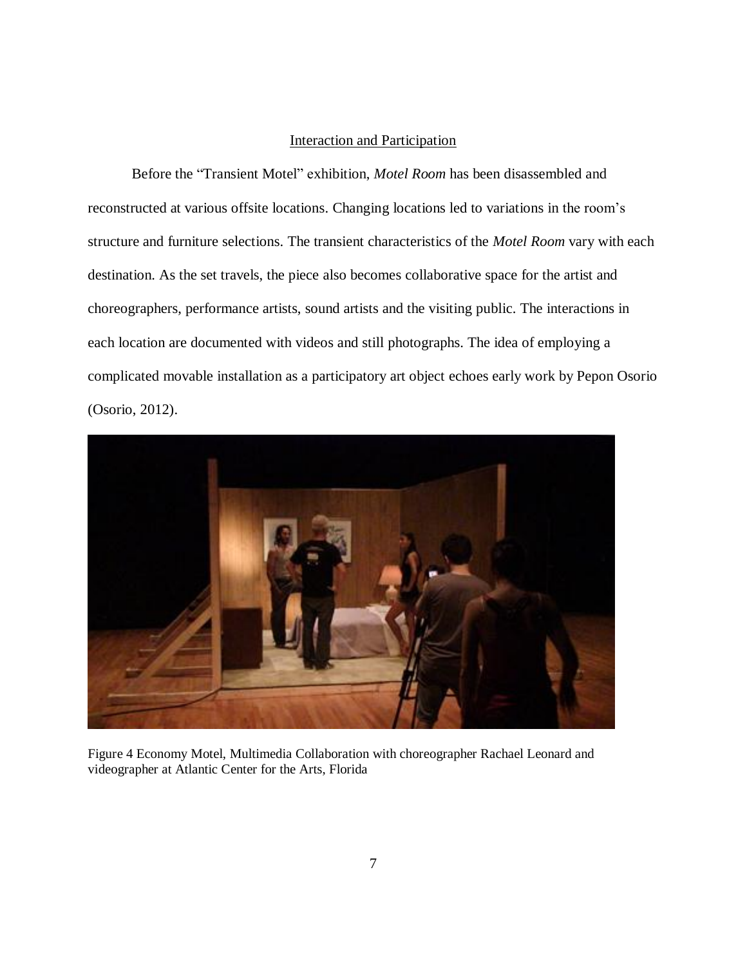#### Interaction and Participation

Before the "Transient Motel" exhibition, *Motel Room* has been disassembled and reconstructed at various offsite locations. Changing locations led to variations in the room's structure and furniture selections. The transient characteristics of the *Motel Room* vary with each destination. As the set travels, the piece also becomes collaborative space for the artist and choreographers, performance artists, sound artists and the visiting public. The interactions in each location are documented with videos and still photographs. The idea of employing a complicated movable installation as a participatory art object echoes early work by Pepon Osorio (Osorio, 2012).

<span id="page-12-0"></span>

Figure 4 Economy Motel, Multimedia Collaboration with choreographer Rachael Leonard and videographer at Atlantic Center for the Arts, Florida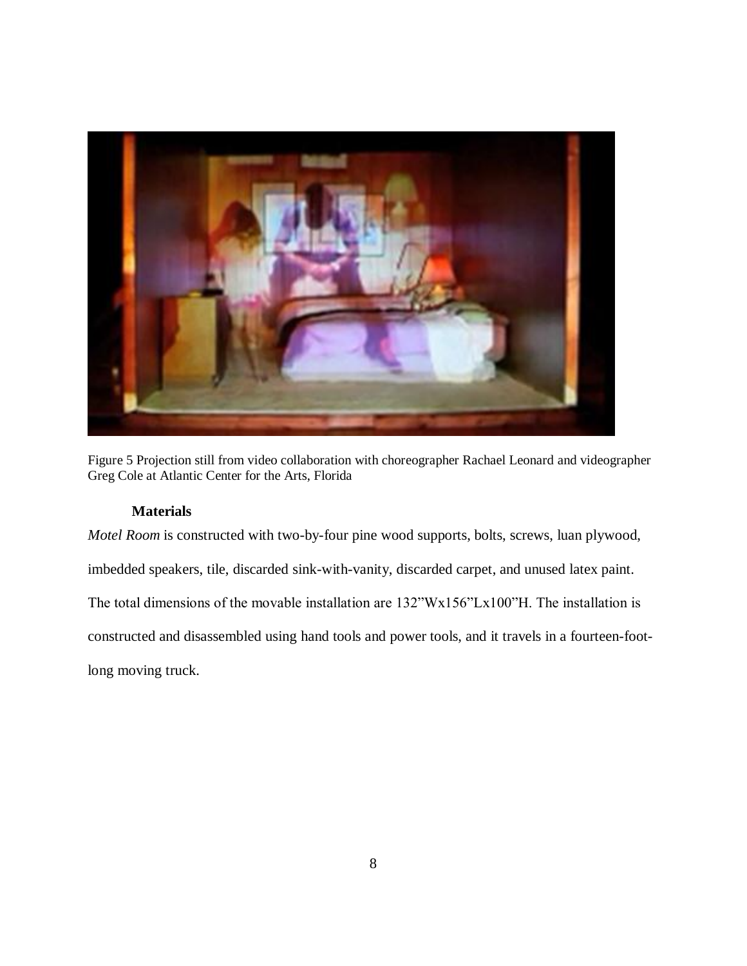

<span id="page-13-1"></span><span id="page-13-0"></span>Figure 5 Projection still from video collaboration with choreographer Rachael Leonard and videographer Greg Cole at Atlantic Center for the Arts, Florida

#### **Materials**

*Motel Room* is constructed with two-by-four pine wood supports, bolts, screws, luan plywood, imbedded speakers, tile, discarded sink-with-vanity, discarded carpet, and unused latex paint. The total dimensions of the movable installation are 132"Wx156"Lx100"H. The installation is constructed and disassembled using hand tools and power tools, and it travels in a fourteen-footlong moving truck.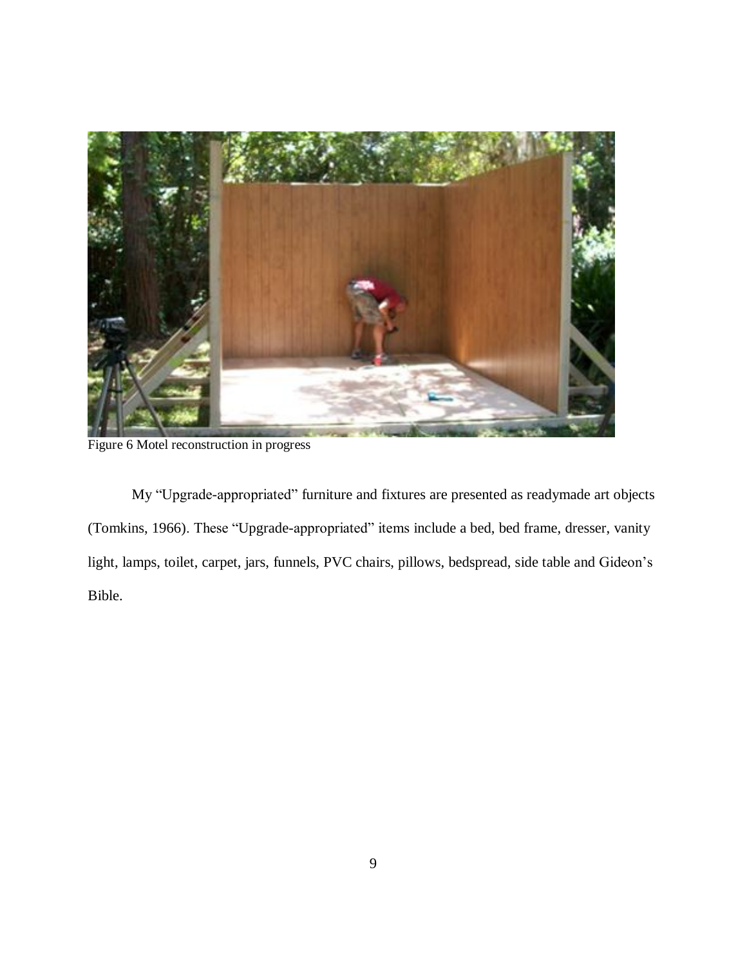

Figure 6 Motel reconstruction in progress

<span id="page-14-0"></span>My "Upgrade-appropriated" furniture and fixtures are presented as readymade art objects (Tomkins, 1966). These "Upgrade-appropriated" items include a bed, bed frame, dresser, vanity light, lamps, toilet, carpet, jars, funnels, PVC chairs, pillows, bedspread, side table and Gideon's Bible.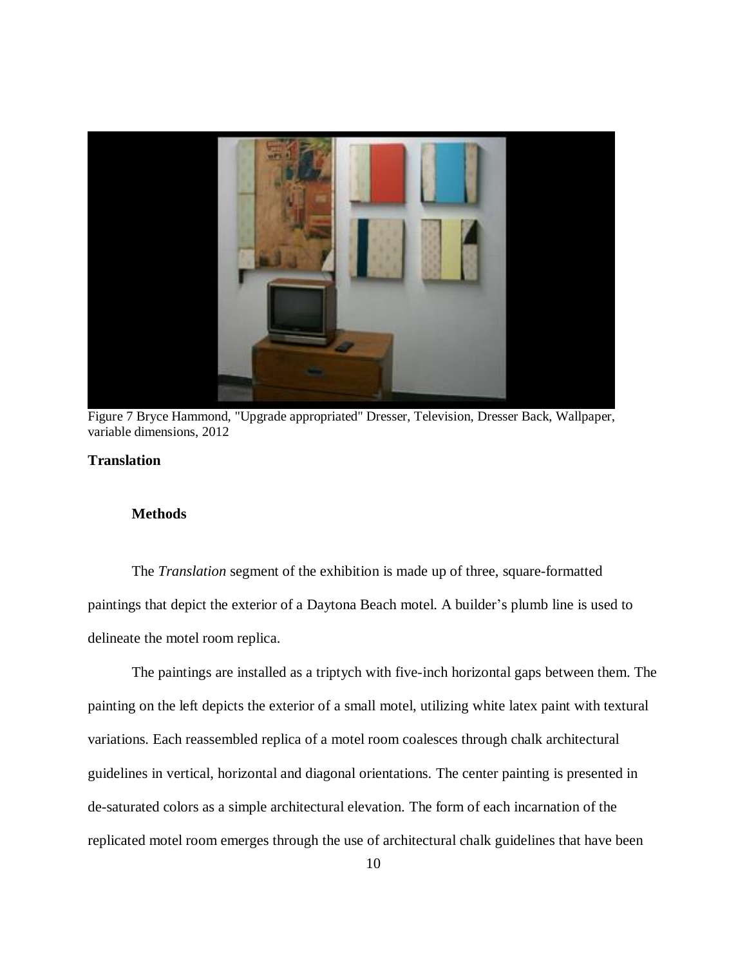

Figure 7 Bryce Hammond, "Upgrade appropriated" Dresser, Television, Dresser Back, Wallpaper, variable dimensions, 2012

#### <span id="page-15-2"></span><span id="page-15-1"></span><span id="page-15-0"></span>**Translation**

#### **Methods**

The *Translation* segment of the exhibition is made up of three, square-formatted paintings that depict the exterior of a Daytona Beach motel. A builder's plumb line is used to delineate the motel room replica.

The paintings are installed as a triptych with five-inch horizontal gaps between them. The painting on the left depicts the exterior of a small motel, utilizing white latex paint with textural variations. Each reassembled replica of a motel room coalesces through chalk architectural guidelines in vertical, horizontal and diagonal orientations. The center painting is presented in de-saturated colors as a simple architectural elevation. The form of each incarnation of the replicated motel room emerges through the use of architectural chalk guidelines that have been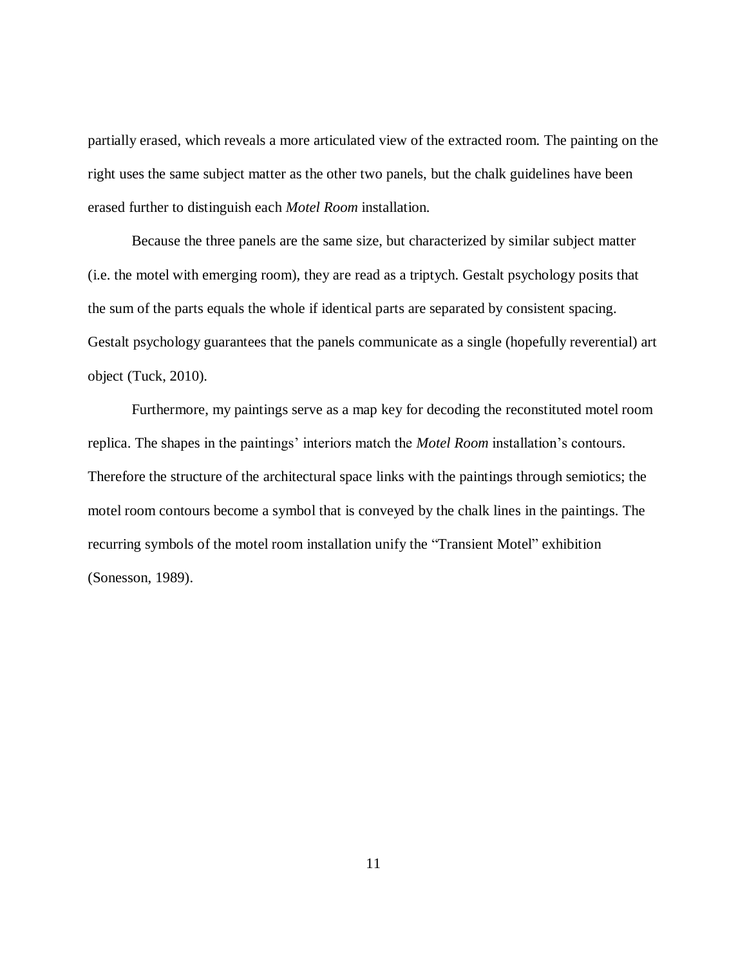partially erased, which reveals a more articulated view of the extracted room. The painting on the right uses the same subject matter as the other two panels, but the chalk guidelines have been erased further to distinguish each *Motel Room* installation.

Because the three panels are the same size, but characterized by similar subject matter (i.e. the motel with emerging room), they are read as a triptych. Gestalt psychology posits that the sum of the parts equals the whole if identical parts are separated by consistent spacing. Gestalt psychology guarantees that the panels communicate as a single (hopefully reverential) art object (Tuck, 2010).

Furthermore, my paintings serve as a map key for decoding the reconstituted motel room replica. The shapes in the paintings' interiors match the *Motel Room* installation's contours. Therefore the structure of the architectural space links with the paintings through semiotics; the motel room contours become a symbol that is conveyed by the chalk lines in the paintings. The recurring symbols of the motel room installation unify the "Transient Motel" exhibition (Sonesson, 1989).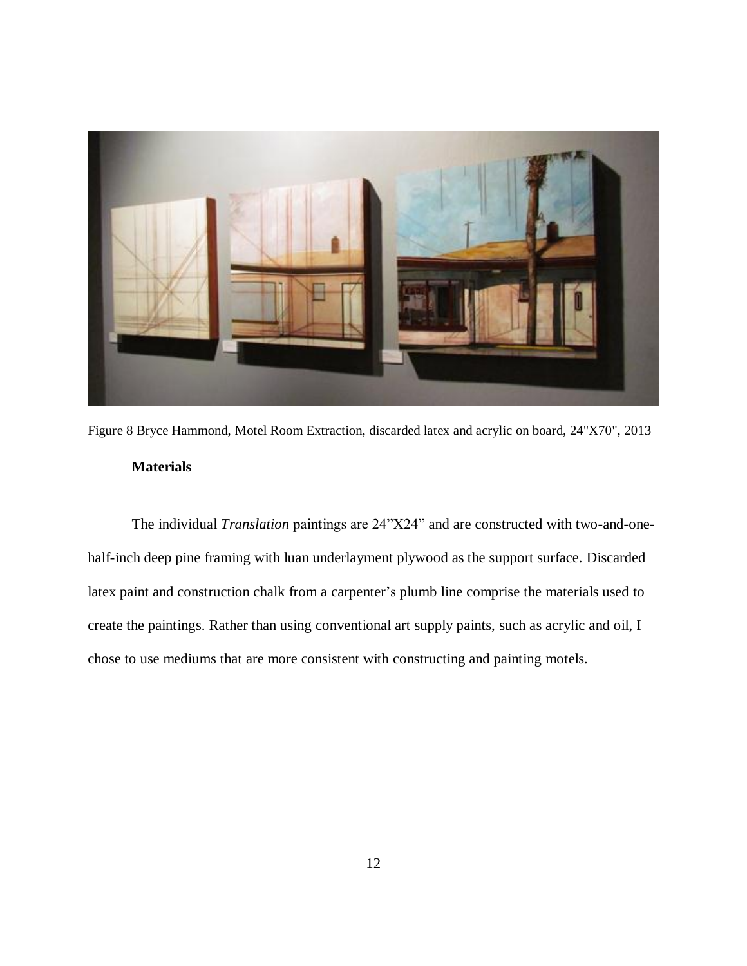

Figure 8 Bryce Hammond, Motel Room Extraction, discarded latex and acrylic on board, 24"X70", 2013 **Materials**

<span id="page-17-1"></span><span id="page-17-0"></span>The individual *Translation* paintings are 24"X24" and are constructed with two-and-onehalf-inch deep pine framing with luan underlayment plywood as the support surface. Discarded latex paint and construction chalk from a carpenter's plumb line comprise the materials used to create the paintings. Rather than using conventional art supply paints, such as acrylic and oil, I chose to use mediums that are more consistent with constructing and painting motels.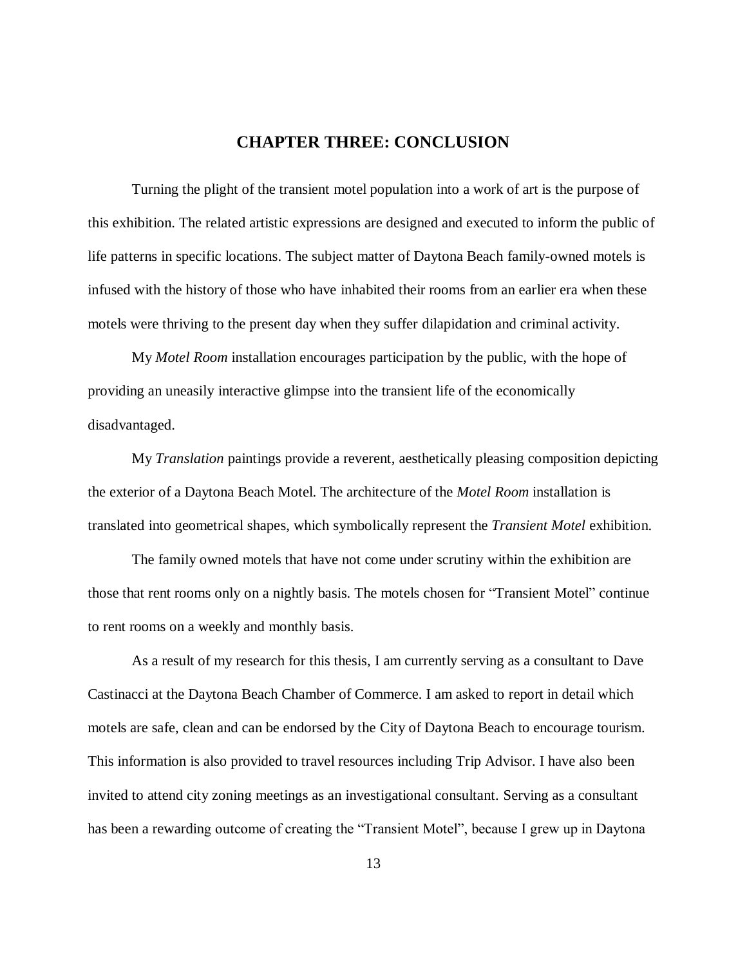#### **CHAPTER THREE: CONCLUSION**

<span id="page-18-0"></span>Turning the plight of the transient motel population into a work of art is the purpose of this exhibition. The related artistic expressions are designed and executed to inform the public of life patterns in specific locations. The subject matter of Daytona Beach family-owned motels is infused with the history of those who have inhabited their rooms from an earlier era when these motels were thriving to the present day when they suffer dilapidation and criminal activity.

My *Motel Room* installation encourages participation by the public, with the hope of providing an uneasily interactive glimpse into the transient life of the economically disadvantaged.

My *Translation* paintings provide a reverent, aesthetically pleasing composition depicting the exterior of a Daytona Beach Motel. The architecture of the *Motel Room* installation is translated into geometrical shapes, which symbolically represent the *Transient Motel* exhibition.

The family owned motels that have not come under scrutiny within the exhibition are those that rent rooms only on a nightly basis. The motels chosen for "Transient Motel" continue to rent rooms on a weekly and monthly basis.

As a result of my research for this thesis, I am currently serving as a consultant to Dave Castinacci at the Daytona Beach Chamber of Commerce. I am asked to report in detail which motels are safe, clean and can be endorsed by the City of Daytona Beach to encourage tourism. This information is also provided to travel resources including Trip Advisor. I have also been invited to attend city zoning meetings as an investigational consultant. Serving as a consultant has been a rewarding outcome of creating the "Transient Motel", because I grew up in Daytona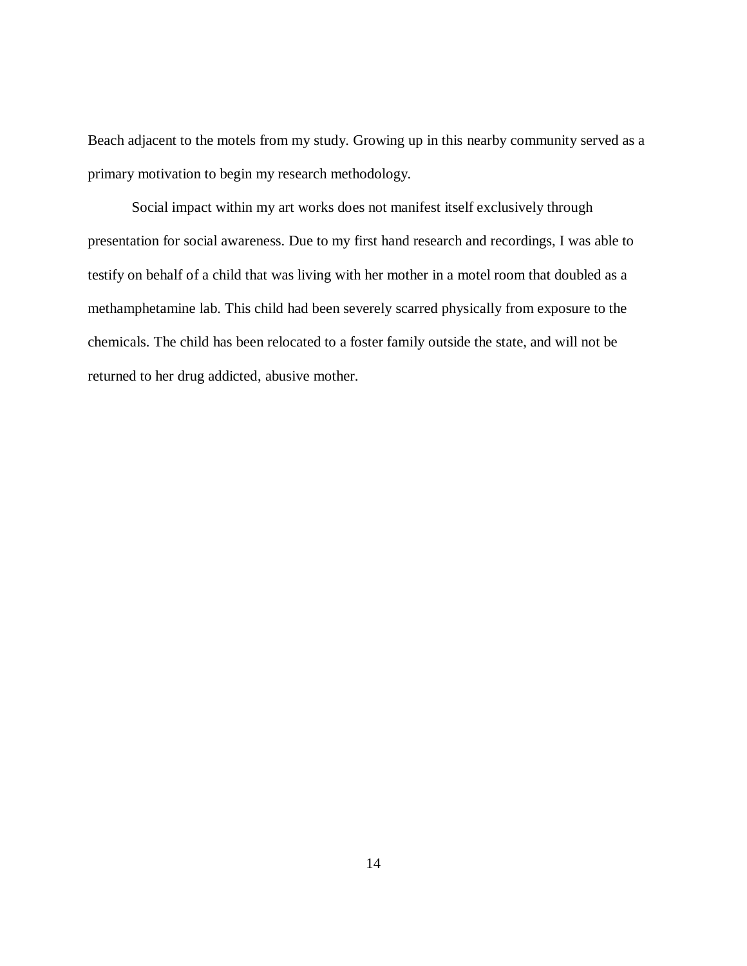Beach adjacent to the motels from my study. Growing up in this nearby community served as a primary motivation to begin my research methodology.

Social impact within my art works does not manifest itself exclusively through presentation for social awareness. Due to my first hand research and recordings, I was able to testify on behalf of a child that was living with her mother in a motel room that doubled as a methamphetamine lab. This child had been severely scarred physically from exposure to the chemicals. The child has been relocated to a foster family outside the state, and will not be returned to her drug addicted, abusive mother.